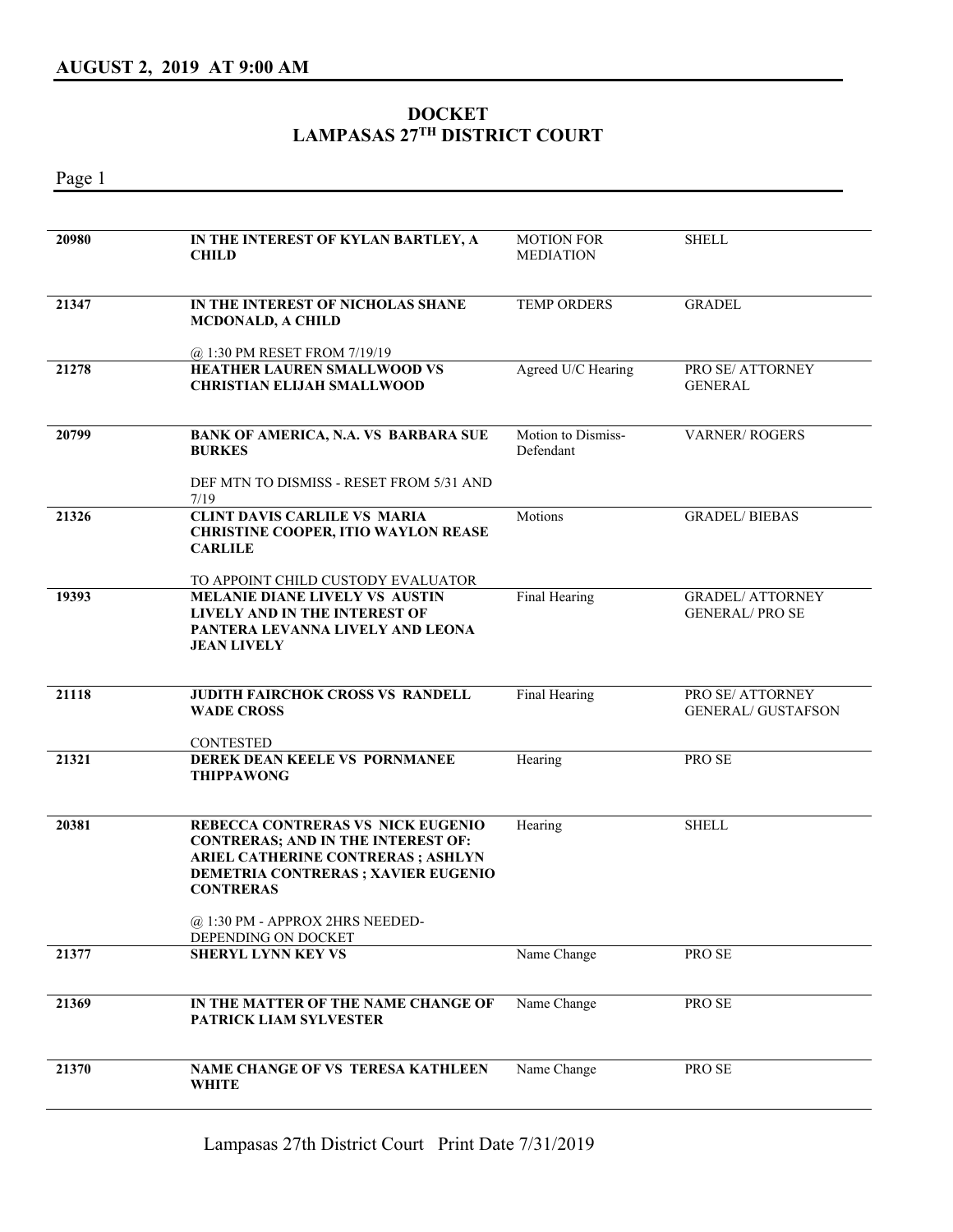## **DOCKET LAMPASAS 27TH DISTRICT COURT**

Page 1

| 20980 | IN THE INTEREST OF KYLAN BARTLEY, A<br><b>CHILD</b>                                                                                                                                                                       | <b>MOTION FOR</b><br><b>MEDIATION</b> | <b>SHELL</b>                                    |
|-------|---------------------------------------------------------------------------------------------------------------------------------------------------------------------------------------------------------------------------|---------------------------------------|-------------------------------------------------|
| 21347 | IN THE INTEREST OF NICHOLAS SHANE<br><b>MCDONALD, A CHILD</b>                                                                                                                                                             | <b>TEMP ORDERS</b>                    | <b>GRADEL</b>                                   |
| 21278 | @ 1:30 PM RESET FROM 7/19/19<br><b>HEATHER LAUREN SMALLWOOD VS</b><br><b>CHRISTIAN ELIJAH SMALLWOOD</b>                                                                                                                   | Agreed U/C Hearing                    | PRO SE/ ATTORNEY<br><b>GENERAL</b>              |
| 20799 | <b>BANK OF AMERICA, N.A. VS BARBARA SUE</b><br><b>BURKES</b><br>DEF MTN TO DISMISS - RESET FROM 5/31 AND                                                                                                                  | Motion to Dismiss-<br>Defendant       | <b>VARNER/ROGERS</b>                            |
| 21326 | 7/19<br><b>CLINT DAVIS CARLILE VS MARIA</b><br><b>CHRISTINE COOPER, ITIO WAYLON REASE</b><br><b>CARLILE</b>                                                                                                               | Motions                               | <b>GRADEL/BIEBAS</b>                            |
| 19393 | TO APPOINT CHILD CUSTODY EVALUATOR<br>MELANIE DIANE LIVELY VS AUSTIN<br><b>LIVELY AND IN THE INTEREST OF</b><br>PANTERA LEVANNA LIVELY AND LEONA<br><b>JEAN LIVELY</b>                                                    | Final Hearing                         | <b>GRADEL/ ATTORNEY</b><br><b>GENERAL/PROSE</b> |
| 21118 | <b>JUDITH FAIRCHOK CROSS VS RANDELL</b><br><b>WADE CROSS</b><br><b>CONTESTED</b>                                                                                                                                          | Final Hearing                         | PRO SE/ ATTORNEY<br><b>GENERAL/ GUSTAFSON</b>   |
| 21321 | DEREK DEAN KEELE VS PORNMANEE<br><b>THIPPAWONG</b>                                                                                                                                                                        | Hearing                               | PRO SE                                          |
| 20381 | REBECCA CONTRERAS VS NICK EUGENIO<br><b>CONTRERAS; AND IN THE INTEREST OF:</b><br>ARIEL CATHERINE CONTRERAS ; ASHLYN<br><b>DEMETRIA CONTRERAS ; XAVIER EUGENIO</b><br><b>CONTRERAS</b><br>@ 1:30 PM - APPROX 2HRS NEEDED- | Hearing                               | <b>SHELL</b>                                    |
| 21377 | DEPENDING ON DOCKET<br><b>SHERYL LYNN KEY VS</b>                                                                                                                                                                          | Name Change                           | PRO SE                                          |
|       |                                                                                                                                                                                                                           |                                       |                                                 |
| 21369 | IN THE MATTER OF THE NAME CHANGE OF<br>PATRICK LIAM SYLVESTER                                                                                                                                                             | Name Change                           | PRO SE                                          |
| 21370 | NAME CHANGE OF VS TERESA KATHLEEN<br><b>WHITE</b>                                                                                                                                                                         | Name Change                           | PRO SE                                          |